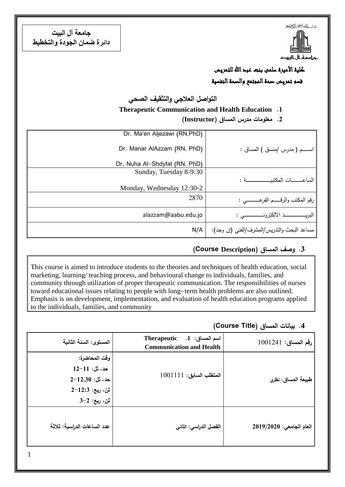

**جامعت آل البيت دائرة ضمان الجودة والتخطيط**

> كلية الأميرة سلمى بنت عبد الله للتمريض قسم تمريض صحة المجتمع والصحة النفسية

**التواصل العالجي والتثقيف الصحي**

## **Therapeutic Communication and Health Education .1**

**.2 معمومات مدرس المساق )Instructor)**

|                                             | Dr. Ma'en Aljezawi (RN, PhD)  |
|---------------------------------------------|-------------------------------|
| اســــــم ( مدرس /منسق ) المساق :           | Dr. Manar AlAzzam (RN, PhD)   |
|                                             | Dr. Nuha Al-Shdyfat (RN, PhD) |
|                                             | Sunday, Tuesday 8-9:30        |
|                                             |                               |
|                                             | Monday, Wednesday 12:30-2     |
| رقم المكتب والرقـــــم الفرعــــــــــى :   | 2870                          |
|                                             | alazzam@aabu.edu.jo           |
| مساعد البحث والندريس/المشرف/الفني (إن وجد): | N/A                           |

## **.3 وصف المساق )Description Course(**

This course is aimed to introduce students to the theories and techniques of health education, social marketing, learning/ teaching process, and behavioural change to individuals, families, and community through utilization of proper therapeutic communication. The responsibilities of nurses toward educational issues relating to people with long- term health problems are also outlined. Emphasis is on development, implementation, and evaluation of health education programs applied to the individuals, families, and community

**.4 بيانات المساق )Title Course)**

| رقم المساق: 1001241      | Therapeutic .1 .1 اسم المساق: 1.<br><b>Communication and Health</b> | المستوى: السنة الثانية                                                                  |
|--------------------------|---------------------------------------------------------------------|-----------------------------------------------------------------------------------------|
| طبيعة المساق: نظري       | المتطلب السابق: 1001111                                             | وقت المحاضرة:<br>حد، ثل: 11-12<br>$2-12.30:$ حد، ثل:<br>ثن، ربع: 12:3−2<br>ثن، ربع: 2-3 |
| العام الجامعى: 2019/2020 | الفصل الدراسي: الثاني                                               | عدد الساعات الدراسية: ثلاثة                                                             |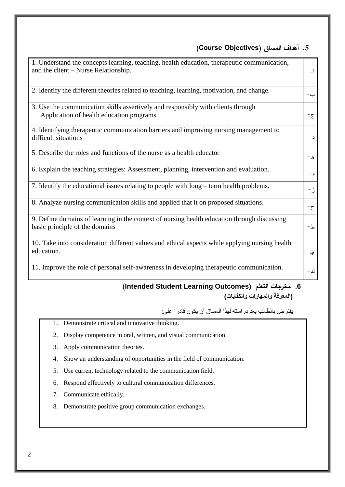## **.5 أهداف المساق )ِ Objectives Course)**

| 1. Understand the concepts learning, teaching, health education, therapeutic communication,<br>and the client – Nurse Relationship. | − î             |
|-------------------------------------------------------------------------------------------------------------------------------------|-----------------|
| 2. Identify the different theories related to teaching, learning, motivation, and change.                                           | $\rightarrow -$ |
| 3. Use the communication skills assertively and responsibly with clients through<br>Application of health education programs        | ج−              |
| 4. Identifying therapeutic communication barriers and improving nursing management to<br>difficult situations                       | $-1$            |
| 5. Describe the roles and functions of the nurse as a health educator                                                               | $-\lambda$      |
| 6. Explain the teaching strategies: Assessment, planning, intervention and evaluation.                                              | و –             |
| 7. Identify the educational issues relating to people with long – term health problems.                                             | ز-              |
| 8. Analyze nursing communication skills and applied that it on proposed situations.                                                 | $-\zeta$        |
| 9. Define domains of learning in the context of nursing health education through discussing<br>basic principle of the domains       | $-\Delta$       |
| 10. Take into consideration different values and ethical aspects while applying nursing health<br>education.                        | ي-              |
| 11. Improve the role of personal self-awareness in developing therapeutic communication.                                            | ك –             |

## **(Intended Student Learning Outcomes) التعمم مخرجات .6 )المعرفة والمهارات والكفايات(**

يفترض بالطالب بعد دراسته لهذا المساق أن يكون قادرا على:

- 1. Demonstrate critical and innovative thinking.
- 2. Display competence in oral, written, and visual communication.
- 3. Apply communication theories.
- 4. Show an understanding of opportunities in the field of communication.
- 5. Use current technology related to the communication field.
- 6. Respond effectively to cultural communication differences.
- 7. Communicate ethically.
- 8. Demonstrate positive group communication exchanges.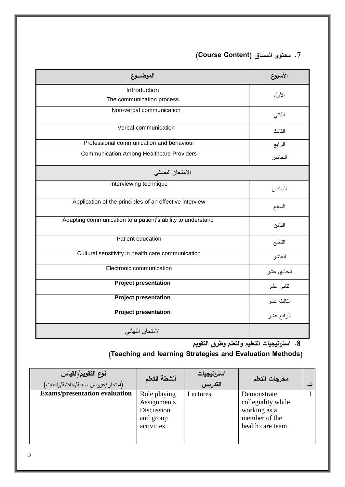| 7. محتوى المساق (Course Content) |  |  |  |  |
|----------------------------------|--|--|--|--|
|----------------------------------|--|--|--|--|

| الموضسوع                                                    | الأسبوع    |
|-------------------------------------------------------------|------------|
| Introduction<br>The communication process                   | الأول      |
| Non-verbal communication                                    | الثاني     |
| Verbal communication                                        | الثالث     |
| Professional communication and behaviour                    | الرابع     |
| <b>Communication Among Healthcare Providers</b>             | الخامس     |
| الامتحان النصفى                                             |            |
| Interviewing technique                                      | السادس     |
| Application of the principles of an effective interview     | السابع     |
| Adapting communication to a patient's ability to understand | الثامن     |
| Patient education                                           | التاسع     |
| Cultural sensitivity in health care communication           | المعاشر    |
| Electronic communication                                    | الحادي عشر |
| <b>Project presentation</b>                                 | الثانى عشر |
| <b>Project presentation</b>                                 | الثالث عشر |
| <b>Project presentation</b>                                 | الرابع عشر |
| الامتحان النهائي                                            |            |

**.8 استراتيجيات التعميم والتعمم وطرق التقويم**

# **)Teaching and learning Strategies and Evaluation Methods(**

| نوع التقويم/القياس<br>(امتحان/عروض صفية/مناقشة/واجبات) | أنشطة التعلم | استراتيجيات<br>التدريس | مخرجات التعلم      | ا ت |
|--------------------------------------------------------|--------------|------------------------|--------------------|-----|
| <b>Exams/presentation evaluation</b>                   | Role playing | Lectures               | Demonstrate        |     |
|                                                        | Assignments  |                        | collegiality while |     |
|                                                        | Discussion   |                        | working as a       |     |
|                                                        | and group    |                        | member of the      |     |
|                                                        | activities.  |                        | health care team   |     |
|                                                        |              |                        |                    |     |
|                                                        |              |                        |                    |     |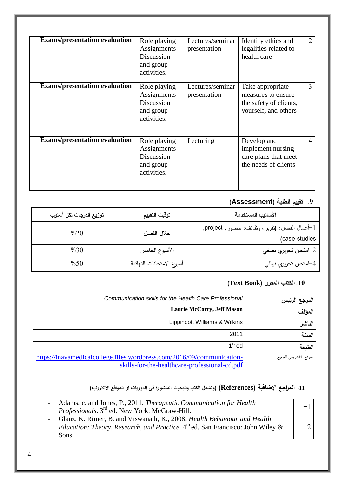| <b>Exams/presentation evaluation</b> | Role playing<br>Assignments<br>Discussion<br>and group<br>activities. | Lectures/seminar<br>presentation | Identify ethics and<br>legalities related to<br>health care                              | $\overline{2}$ |
|--------------------------------------|-----------------------------------------------------------------------|----------------------------------|------------------------------------------------------------------------------------------|----------------|
| <b>Exams/presentation evaluation</b> | Role playing<br>Assignments<br>Discussion<br>and group<br>activities. | Lectures/seminar<br>presentation | Take appropriate<br>measures to ensure<br>the safety of clients,<br>yourself, and others | 3              |
| <b>Exams/presentation evaluation</b> | Role playing<br>Assignments<br>Discussion<br>and group<br>activities. | Lecturing                        | Develop and<br>implement nursing<br>care plans that meet<br>the needs of clients         | 4              |

# **.9 تقييم الطمبة )Assessment)**

| توزيع الدرجات لكل أسلوب | توقيت التقييم             | الأساليب المستخدمة                             |
|-------------------------|---------------------------|------------------------------------------------|
| %20                     | خلال الفصل                | 1–أعمال الفصل: (تقرير ، وظائف، حضور , project, |
|                         |                           | (case studies                                  |
| %30                     | الأسبوع الخامس            | 2–امتحان تحريري نصفي                           |
| %50                     | أسبوع الامتحانات النهائية | 4–امتحان تحريري نهائي                          |

## **.11 الكتاب المقرر )Book Text)**

| المرجع الرئيس            | Communication skills for the Health Care Professional                                                                   |
|--------------------------|-------------------------------------------------------------------------------------------------------------------------|
| المؤلف                   | <b>Laurie McCorry, Jeff Mason</b>                                                                                       |
| الناشر                   | Lippincott Williams & Wilkins                                                                                           |
| السنة                    | 2011                                                                                                                    |
| الطبعة                   | $1st$ ed                                                                                                                |
| الموقع الالكتروني للمرجع | https://inayamedicalcollege.files.wordpress.com/2016/09/communication-<br>skills-for-the-healthcare-professional-cd.pdf |

# **.11 المراجع اإلضافية )References( )وتشمل الكتب والبحوث المنشورة في الدوريات او المواقع االلكترونية(**

| - Adams, c. and Jones, P., 2011. Therapeutic Communication for Health<br>Professionals. 3 <sup>rd</sup> ed. New York: McGraw-Hill.                                             |  |
|--------------------------------------------------------------------------------------------------------------------------------------------------------------------------------|--|
| - Glanz, K. Rimer, B. and Viswanath, K., 2008. Health Behaviour and Health<br><i>Education: Theory, Research, and Practice.</i> $4th$ ed. San Francisco: John Wiley &<br>Sons. |  |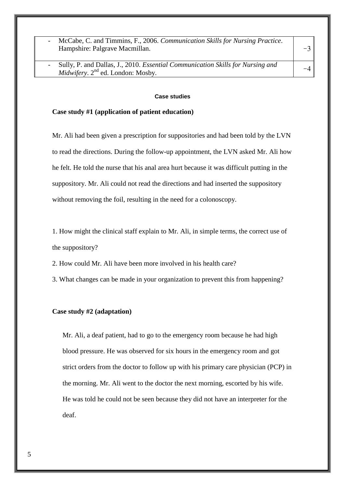- McCabe, C. and Timmins, F., 2006. *Communication Skills for Nursing Practice*. Hampshire: Palgrave Macmillan.

- Sully, P. and Dallas, J., 2010. *Essential Communication Skills for Nursing and Midwifery*. 2<sup>nd</sup> ed. London: Mosby.

#### **Case studies**

#### **Case study #1 (application of patient education)**

Mr. Ali had been given a prescription for suppositories and had been told by the LVN to read the directions. During the follow-up appointment, the LVN asked Mr. Ali how he felt. He told the nurse that his anal area hurt because it was difficult putting in the suppository. Mr. Ali could not read the directions and had inserted the suppository without removing the foil, resulting in the need for a colonoscopy.

1. How might the clinical staff explain to Mr. Ali, in simple terms, the correct use of the suppository?

- 2. How could Mr. Ali have been more involved in his health care?
- 3. What changes can be made in your organization to prevent this from happening?

#### **Case study #2 (adaptation)**

Mr. Ali, a deaf patient, had to go to the emergency room because he had high blood pressure. He was observed for six hours in the emergency room and got strict orders from the doctor to follow up with his primary care physician (PCP) in the morning. Mr. Ali went to the doctor the next morning, escorted by his wife. He was told he could not be seen because they did not have an interpreter for the deaf.

 $-3$ 

 $-4$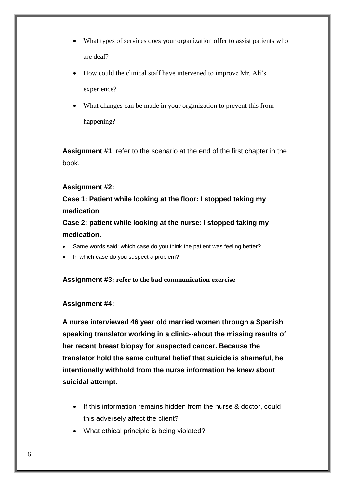- What types of services does your organization offer to assist patients who are deaf?
- How could the clinical staff have intervened to improve Mr. Ali's experience?
- What changes can be made in your organization to prevent this from happening?

**Assignment #1**: refer to the scenario at the end of the first chapter in the book.

## **Assignment #2:**

**Case 1: Patient while looking at the floor: I stopped taking my medication**

**Case 2: patient while looking at the nurse: I stopped taking my medication.**

- Same words said: which case do you think the patient was feeling better?
- In which case do you suspect a problem?

 **Assignment #3: refer to the bad communication exercise** 

### **Assignment #4:**

**A nurse interviewed 46 year old married women through a Spanish speaking translator working in a clinic--about the missing results of her recent breast biopsy for suspected cancer. Because the translator hold the same cultural belief that suicide is shameful, he intentionally withhold from the nurse information he knew about suicidal attempt.**

- If this information remains hidden from the nurse & doctor, could this adversely affect the client?
- What ethical principle is being violated?